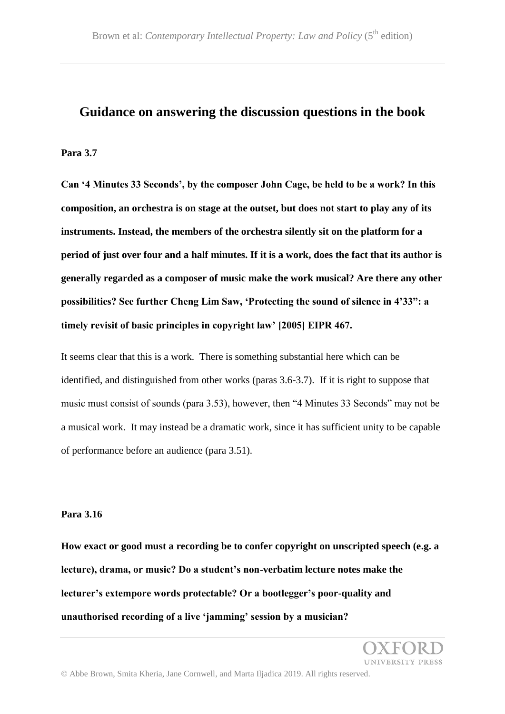## **Guidance on answering the discussion questions in the book**

#### **Para 3.7**

**Can '4 Minutes 33 Seconds', by the composer John Cage, be held to be a work? In this composition, an orchestra is on stage at the outset, but does not start to play any of its instruments. Instead, the members of the orchestra silently sit on the platform for a period of just over four and a half minutes. If it is a work, does the fact that its author is generally regarded as a composer of music make the work musical? Are there any other possibilities? See further Cheng Lim Saw, 'Protecting the sound of silence in 4'33": a timely revisit of basic principles in copyright law' [2005] EIPR 467.**

It seems clear that this is a work. There is something substantial here which can be identified, and distinguished from other works (paras 3.6-3.7). If it is right to suppose that music must consist of sounds (para 3.53), however, then "4 Minutes 33 Seconds" may not be a musical work. It may instead be a dramatic work, since it has sufficient unity to be capable of performance before an audience (para 3.51).

#### **Para 3.16**

**How exact or good must a recording be to confer copyright on unscripted speech (e.g. a lecture), drama, or music? Do a student's non-verbatim lecture notes make the lecturer's extempore words protectable? Or a bootlegger's poor-quality and unauthorised recording of a live 'jamming' session by a musician?**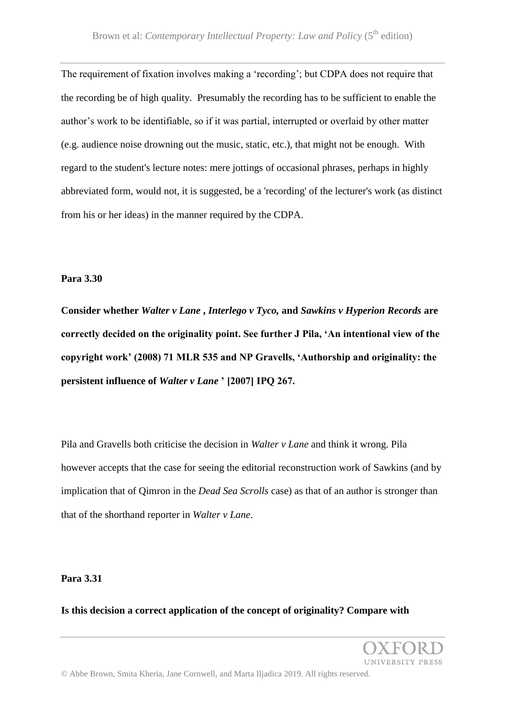The requirement of fixation involves making a 'recording'; but CDPA does not require that the recording be of high quality. Presumably the recording has to be sufficient to enable the author's work to be identifiable, so if it was partial, interrupted or overlaid by other matter (e.g. audience noise drowning out the music, static, etc.), that might not be enough. With regard to the student's lecture notes: mere jottings of occasional phrases, perhaps in highly abbreviated form, would not, it is suggested, be a 'recording' of the lecturer's work (as distinct from his or her ideas) in the manner required by the CDPA.

#### **Para 3.30**

**Consider whether** *Walter v Lane* **,** *Interlego v Tyco,* **and** *Sawkins v Hyperion Records* **are correctly decided on the originality point. See further J Pila, 'An intentional view of the copyright work' (2008) 71 MLR 535 and NP Gravells, 'Authorship and originality: the persistent influence of** *Walter v Lane* **' [2007] IPQ 267.**

Pila and Gravells both criticise the decision in *Walter v Lane* and think it wrong. Pila however accepts that the case for seeing the editorial reconstruction work of Sawkins (and by implication that of Qimron in the *Dead Sea Scrolls* case) as that of an author is stronger than that of the shorthand reporter in *Walter v Lane*.

#### **Para 3.31**

**Is this decision a correct application of the concept of originality? Compare with** 

INIVERSITY PRESS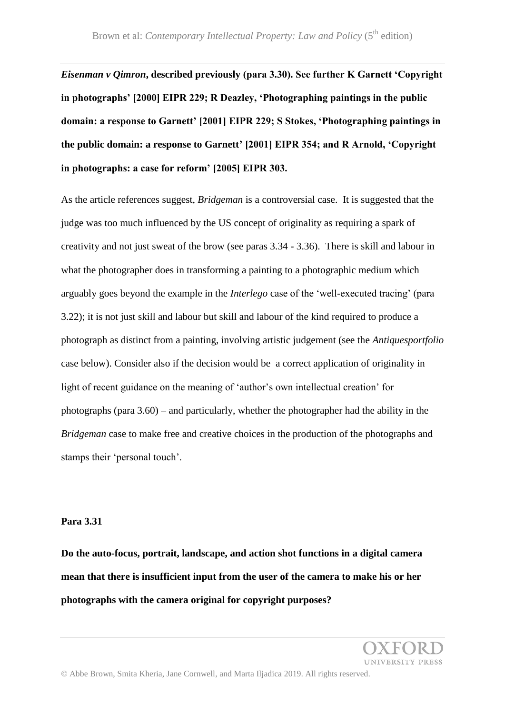*Eisenman v Qimron***, described previously (para 3.30). See further K Garnett 'Copyright in photographs' [2000] EIPR 229; R Deazley, 'Photographing paintings in the public domain: a response to Garnett' [2001] EIPR 229; S Stokes, 'Photographing paintings in the public domain: a response to Garnett' [2001] EIPR 354; and R Arnold, 'Copyright in photographs: a case for reform' [2005] EIPR 303.**

As the article references suggest, *Bridgeman* is a controversial case. It is suggested that the judge was too much influenced by the US concept of originality as requiring a spark of creativity and not just sweat of the brow (see paras 3.34 - 3.36). There is skill and labour in what the photographer does in transforming a painting to a photographic medium which arguably goes beyond the example in the *Interlego* case of the 'well-executed tracing' (para 3.22); it is not just skill and labour but skill and labour of the kind required to produce a photograph as distinct from a painting, involving artistic judgement (see the *Antiquesportfolio* case below). Consider also if the decision would be a correct application of originality in light of recent guidance on the meaning of 'author's own intellectual creation' for photographs (para 3.60) – and particularly, whether the photographer had the ability in the *Bridgeman* case to make free and creative choices in the production of the photographs and stamps their 'personal touch'.

#### **Para 3.31**

**Do the auto-focus, portrait, landscape, and action shot functions in a digital camera mean that there is insufficient input from the user of the camera to make his or her photographs with the camera original for copyright purposes?**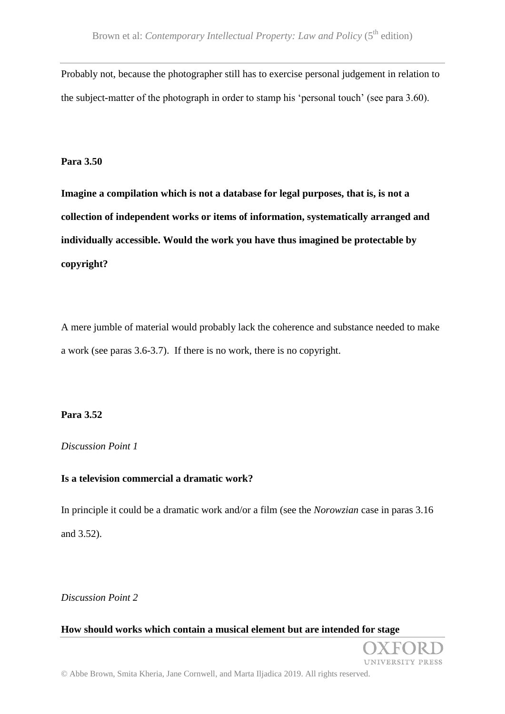Probably not, because the photographer still has to exercise personal judgement in relation to the subject-matter of the photograph in order to stamp his 'personal touch' (see para 3.60).

#### **Para 3.50**

**Imagine a compilation which is not a database for legal purposes, that is, is not a collection of independent works or items of information, systematically arranged and individually accessible. Would the work you have thus imagined be protectable by copyright?**

A mere jumble of material would probably lack the coherence and substance needed to make a work (see paras 3.6-3.7). If there is no work, there is no copyright.

## **Para 3.52**

## *Discussion Point 1*

## **Is a television commercial a dramatic work?**

In principle it could be a dramatic work and/or a film (see the *Norowzian* case in paras 3.16 and 3.52).

*Discussion Point 2*

## **How should works which contain a musical element but are intended for stage**

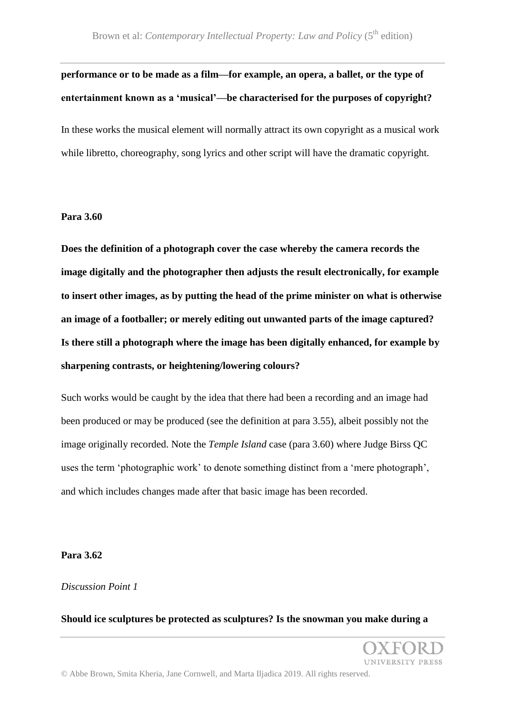## **performance or to be made as a film—for example, an opera, a ballet, or the type of entertainment known as a 'musical'—be characterised for the purposes of copyright?**

In these works the musical element will normally attract its own copyright as a musical work while libretto, choreography, song lyrics and other script will have the dramatic copyright.

#### **Para 3.60**

**Does the definition of a photograph cover the case whereby the camera records the image digitally and the photographer then adjusts the result electronically, for example to insert other images, as by putting the head of the prime minister on what is otherwise an image of a footballer; or merely editing out unwanted parts of the image captured? Is there still a photograph where the image has been digitally enhanced, for example by sharpening contrasts, or heightening/lowering colours?**

Such works would be caught by the idea that there had been a recording and an image had been produced or may be produced (see the definition at para 3.55), albeit possibly not the image originally recorded. Note the *Temple Island* case (para 3.60) where Judge Birss QC uses the term 'photographic work' to denote something distinct from a 'mere photograph', and which includes changes made after that basic image has been recorded.

#### **Para 3.62**

#### *Discussion Point 1*

#### **Should ice sculptures be protected as sculptures? Is the snowman you make during a**

**UNIVERSITY PRESS**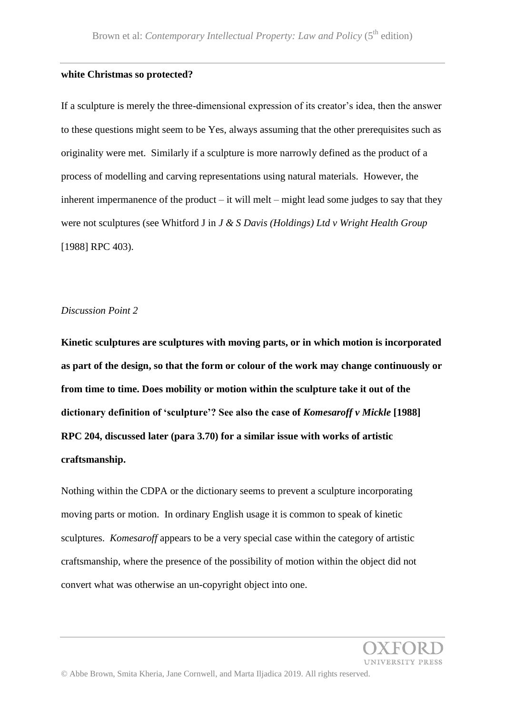#### **white Christmas so protected?**

If a sculpture is merely the three-dimensional expression of its creator's idea, then the answer to these questions might seem to be Yes, always assuming that the other prerequisites such as originality were met. Similarly if a sculpture is more narrowly defined as the product of a process of modelling and carving representations using natural materials. However, the inherent impermanence of the product – it will melt – might lead some judges to say that they were not sculptures (see Whitford J in *J & S Davis (Holdings) Ltd v Wright Health Group* [1988] RPC 403).

#### *Discussion Point 2*

**Kinetic sculptures are sculptures with moving parts, or in which motion is incorporated as part of the design, so that the form or colour of the work may change continuously or from time to time. Does mobility or motion within the sculpture take it out of the dictionary definition of 'sculpture'? See also the case of** *Komesaroff v Mickle* **[1988] RPC 204, discussed later (para 3.70) for a similar issue with works of artistic craftsmanship.**

Nothing within the CDPA or the dictionary seems to prevent a sculpture incorporating moving parts or motion. In ordinary English usage it is common to speak of kinetic sculptures. *Komesaroff* appears to be a very special case within the category of artistic craftsmanship, where the presence of the possibility of motion within the object did not convert what was otherwise an un-copyright object into one.

**IVERSITY PRESS**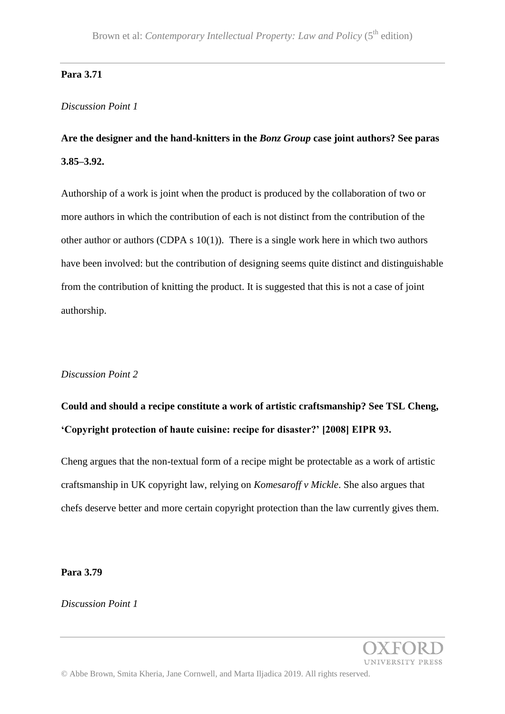#### **Para 3.71**

#### *Discussion Point 1*

# **Are the designer and the hand-knitters in the** *Bonz Group* **case joint authors? See paras 3.85–3.92.**

Authorship of a work is joint when the product is produced by the collaboration of two or more authors in which the contribution of each is not distinct from the contribution of the other author or authors (CDPA s  $10(1)$ ). There is a single work here in which two authors have been involved: but the contribution of designing seems quite distinct and distinguishable from the contribution of knitting the product. It is suggested that this is not a case of joint authorship.

#### *Discussion Point 2*

# **Could and should a recipe constitute a work of artistic craftsmanship? See TSL Cheng, 'Copyright protection of haute cuisine: recipe for disaster?' [2008] EIPR 93.**

Cheng argues that the non-textual form of a recipe might be protectable as a work of artistic craftsmanship in UK copyright law, relying on *Komesaroff v Mickle*. She also argues that chefs deserve better and more certain copyright protection than the law currently gives them.

#### **Para 3.79**

*Discussion Point 1*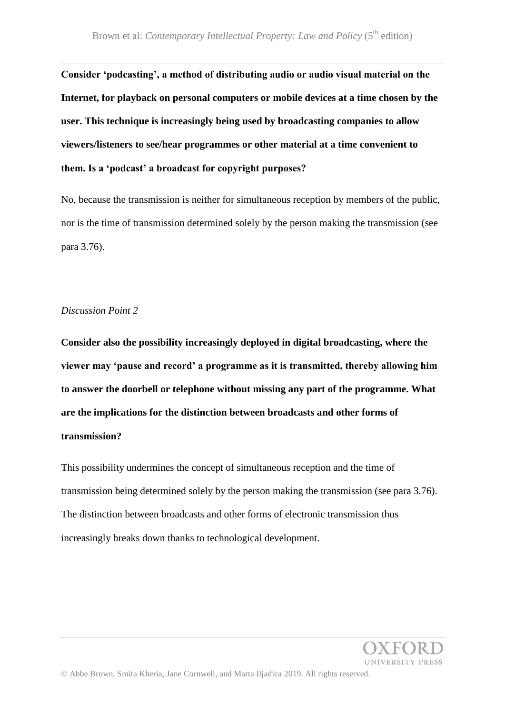**Consider 'podcasting', a method of distributing audio or audio visual material on the Internet, for playback on personal computers or mobile devices at a time chosen by the user. This technique is increasingly being used by broadcasting companies to allow viewers/listeners to see/hear programmes or other material at a time convenient to them. Is a 'podcast' a broadcast for copyright purposes?**

No, because the transmission is neither for simultaneous reception by members of the public, nor is the time of transmission determined solely by the person making the transmission (see para 3.76).

#### *Discussion Point 2*

**Consider also the possibility increasingly deployed in digital broadcasting, where the viewer may 'pause and record' a programme as it is transmitted, thereby allowing him to answer the doorbell or telephone without missing any part of the programme. What are the implications for the distinction between broadcasts and other forms of transmission?**

This possibility undermines the concept of simultaneous reception and the time of transmission being determined solely by the person making the transmission (see para 3.76). The distinction between broadcasts and other forms of electronic transmission thus increasingly breaks down thanks to technological development.

**INIVERSITY PRESS**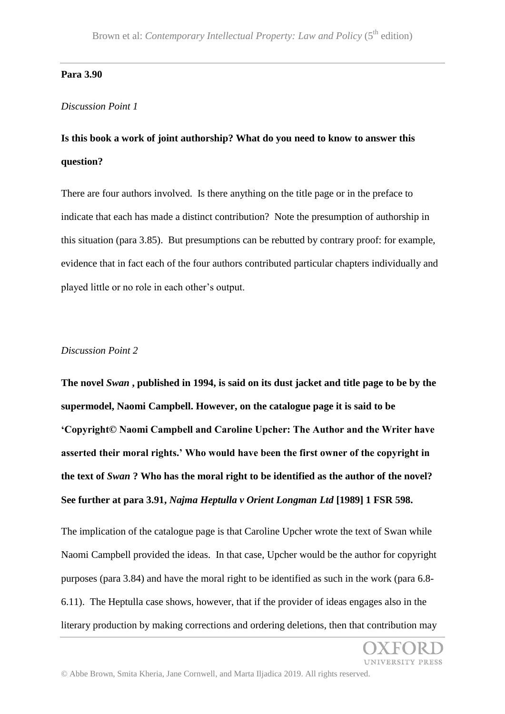#### **Para 3.90**

#### *Discussion Point 1*

## **Is this book a work of joint authorship? What do you need to know to answer this question?**

There are four authors involved. Is there anything on the title page or in the preface to indicate that each has made a distinct contribution? Note the presumption of authorship in this situation (para 3.85). But presumptions can be rebutted by contrary proof: for example, evidence that in fact each of the four authors contributed particular chapters individually and played little or no role in each other's output.

### *Discussion Point 2*

**The novel** *Swan* **, published in 1994, is said on its dust jacket and title page to be by the supermodel, Naomi Campbell. However, on the catalogue page it is said to be 'Copyright© Naomi Campbell and Caroline Upcher: The Author and the Writer have asserted their moral rights.' Who would have been the first owner of the copyright in the text of** *Swan* **? Who has the moral right to be identified as the author of the novel? See further at para 3.91,** *Najma Heptulla v Orient Longman Ltd* **[1989] 1 FSR 598.**

The implication of the catalogue page is that Caroline Upcher wrote the text of Swan while Naomi Campbell provided the ideas. In that case, Upcher would be the author for copyright purposes (para 3.84) and have the moral right to be identified as such in the work (para 6.8- 6.11). The Heptulla case shows, however, that if the provider of ideas engages also in the literary production by making corrections and ordering deletions, then that contribution may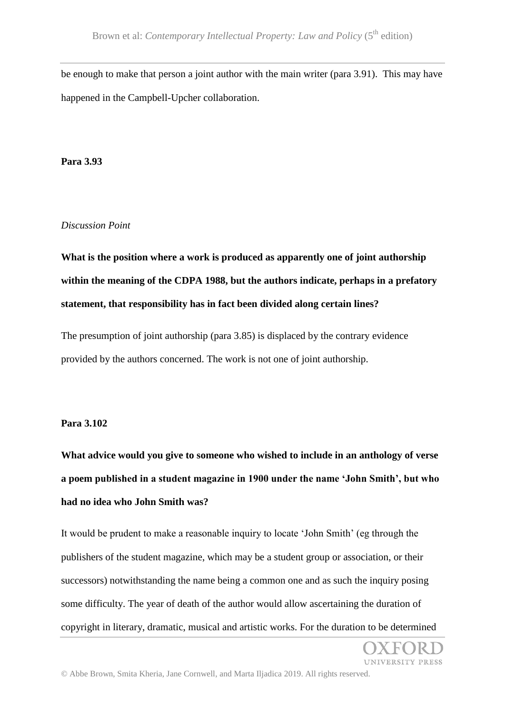be enough to make that person a joint author with the main writer (para 3.91). This may have happened in the Campbell-Upcher collaboration.

#### **Para 3.93**

#### *Discussion Point*

**What is the position where a work is produced as apparently one of joint authorship within the meaning of the CDPA 1988, but the authors indicate, perhaps in a prefatory statement, that responsibility has in fact been divided along certain lines?**

The presumption of joint authorship (para 3.85) is displaced by the contrary evidence provided by the authors concerned. The work is not one of joint authorship.

#### **Para 3.102**

**What advice would you give to someone who wished to include in an anthology of verse a poem published in a student magazine in 1900 under the name 'John Smith', but who had no idea who John Smith was?**

It would be prudent to make a reasonable inquiry to locate 'John Smith' (eg through the publishers of the student magazine, which may be a student group or association, or their successors) notwithstanding the name being a common one and as such the inquiry posing some difficulty. The year of death of the author would allow ascertaining the duration of copyright in literary, dramatic, musical and artistic works. For the duration to be determined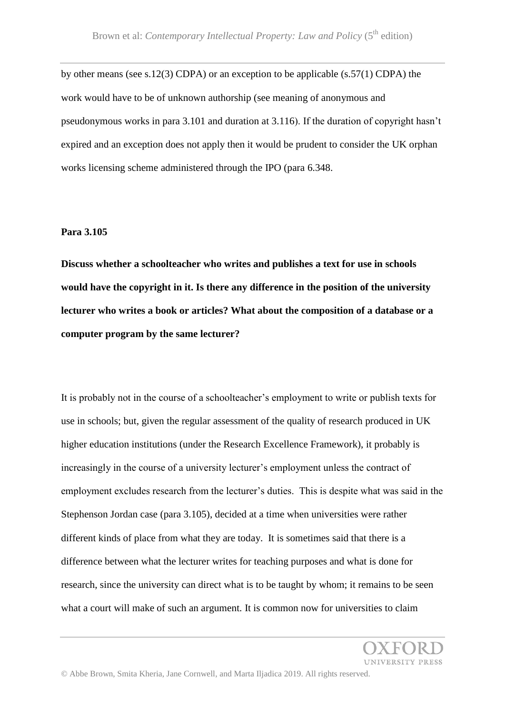by other means (see s.12(3) CDPA) or an exception to be applicable (s.57(1) CDPA) the work would have to be of unknown authorship (see meaning of anonymous and pseudonymous works in para 3.101 and duration at 3.116). If the duration of copyright hasn't expired and an exception does not apply then it would be prudent to consider the UK orphan works licensing scheme administered through the IPO (para 6.348.

#### **Para 3.105**

**Discuss whether a schoolteacher who writes and publishes a text for use in schools would have the copyright in it. Is there any difference in the position of the university lecturer who writes a book or articles? What about the composition of a database or a computer program by the same lecturer?**

It is probably not in the course of a schoolteacher's employment to write or publish texts for use in schools; but, given the regular assessment of the quality of research produced in UK higher education institutions (under the Research Excellence Framework), it probably is increasingly in the course of a university lecturer's employment unless the contract of employment excludes research from the lecturer's duties. This is despite what was said in the Stephenson Jordan case (para 3.105), decided at a time when universities were rather different kinds of place from what they are today. It is sometimes said that there is a difference between what the lecturer writes for teaching purposes and what is done for research, since the university can direct what is to be taught by whom; it remains to be seen what a court will make of such an argument. It is common now for universities to claim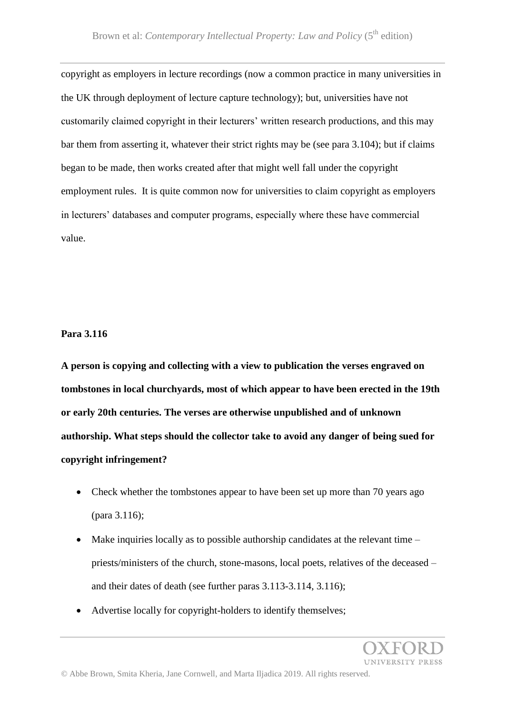copyright as employers in lecture recordings (now a common practice in many universities in the UK through deployment of lecture capture technology); but, universities have not customarily claimed copyright in their lecturers' written research productions, and this may bar them from asserting it, whatever their strict rights may be (see para 3.104); but if claims began to be made, then works created after that might well fall under the copyright employment rules. It is quite common now for universities to claim copyright as employers in lecturers' databases and computer programs, especially where these have commercial value.

### **Para 3.116**

**A person is copying and collecting with a view to publication the verses engraved on tombstones in local churchyards, most of which appear to have been erected in the 19th or early 20th centuries. The verses are otherwise unpublished and of unknown authorship. What steps should the collector take to avoid any danger of being sued for copyright infringement?**

- Check whether the tombstones appear to have been set up more than 70 years ago (para 3.116);
- Make inquiries locally as to possible authorship candidates at the relevant time priests/ministers of the church, stone-masons, local poets, relatives of the deceased – and their dates of death (see further paras 3.113-3.114, 3.116);
- Advertise locally for copyright-holders to identify themselves;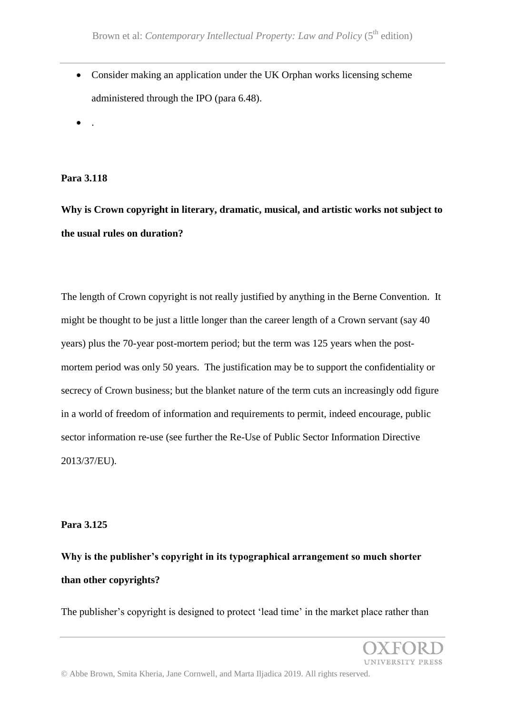• Consider making an application under the UK Orphan works licensing scheme administered through the IPO (para 6.48).

 $\bullet$  .

**Para 3.118**

**Why is Crown copyright in literary, dramatic, musical, and artistic works not subject to the usual rules on duration?**

The length of Crown copyright is not really justified by anything in the Berne Convention. It might be thought to be just a little longer than the career length of a Crown servant (say 40 years) plus the 70-year post-mortem period; but the term was 125 years when the postmortem period was only 50 years. The justification may be to support the confidentiality or secrecy of Crown business; but the blanket nature of the term cuts an increasingly odd figure in a world of freedom of information and requirements to permit, indeed encourage, public sector information re-use (see further the Re-Use of Public Sector Information Directive 2013/37/EU).

## **Para 3.125**

**Why is the publisher's copyright in its typographical arrangement so much shorter than other copyrights?**

The publisher's copyright is designed to protect 'lead time' in the market place rather than